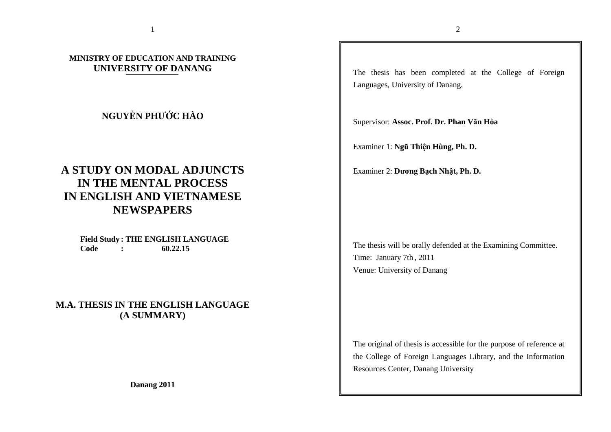## **MINISTRY OF EDUCATION AND TRAINING UNIVERSITY OF DANANG**

## **NGUYỄN PHƯỚC HÀO**

# **A STUDY ON MODAL ADJUNCTS IN THE MENTAL PROCESS IN ENGLISH AND VIETNAMESE NEWSPAPERS**

**Field Study : THE ENGLISH LANGUAGE Code : 60.22.15** 

**M.A. THESIS IN THE ENGLISH LANGUAGE (A SUMMARY)** 

**Danang 2011** 

The thesis has been completed at the College of Foreign Languages, University of Danang.

Supervisor: **Assoc. Prof. Dr. Phan Văn Hòa** 

Examiner 1: **Ngũ Thiện Hùng, Ph. D.** 

Examiner 2: **Dương Bạch Nhật, Ph. D.** 

The thesis will be orally defended at the Examining Committee. Time: January 7th , <sup>2011</sup> Venue: University of Danang

The original of thesis is accessible for the purpose of reference at the College of Foreign Languages Library, and the Information Resources Center, Danang University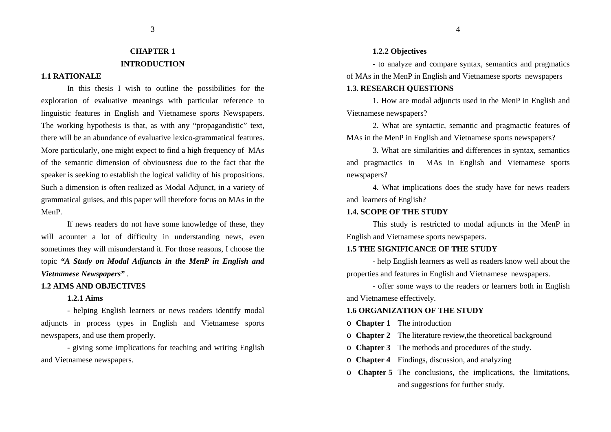#### 3

### **CHAPTER 1 INTRODUCTION**

### **1.1 RATIONALE**

 In this thesis I wish to outline the possibilities for the exploration of evaluative meanings with particular reference to linguistic features in English and Vietnamese sports Newspapers. The working hypothesis is that, as with any "propagandistic" text, there will be an abundance of evaluative lexico-grammatical features. More particularly, one might expect to find a high frequency of MAs of the semantic dimension of obviousness due to the fact that the speaker is seeking to establish the logical validity of his propositions. Such a dimension is often realized as Modal Adjunct, in a variety of grammatical guises, and this paper will therefore focus on MAs in the MenP.

If news readers do not have some knowledge of these, they will acounter a lot of difficulty in understanding news, even sometimes they will misunderstand it. For those reasons, I choose the topic *"A Study on Modal Adjuncts in the MenP in English and Vietnamese Newspapers"* .

#### **1.2 AIMS AND OBJECTIVES**

#### **1.2.1 Aims**

 - helping English learners or news readers identify modal adjuncts in process types in English and Vietnamese sports newspapers, and use them properly.

 - giving some implications for teaching and writing English and Vietnamese newspapers.

#### **1.2.2 Objectives**

 - to analyze and compare syntax, semantics and pragmatics of MAs in the MenP in English and Vietnamese sports newspapers

### **1.3. RESEARCH QUESTIONS**

 1. How are modal adjuncts used in the MenP in English and Vietnamese newspapers?

 2. What are syntactic, semantic and pragmactic features of MAs in the MenP in English and Vietnamese sports newspapers?

 3. What are similarities and differences in syntax, semantics and pragmactics in MAs in English and Vietnamese sports newspapers?

 4. What implications does the study have for news readers and learners of English?

#### **1.4. SCOPE OF THE STUDY**

This study is restricted to modal adjuncts in the MenP in English and Vietnamese sports newspapers.

### **1.5 THE SIGNIFICANCE OF THE STUDY**

 - help English learners as well as readers know well about the properties and features in English and Vietnamese newspapers.

- offer some ways to the readers or learners both in English and Vietnamese effectively.

#### **1.6 ORGANIZATION OF THE STUDY**

- o **Chapter 1** The introduction
- o **Chapter 2** The literature review,the theoretical background
- o **Chapter 3** The methods and procedures of the study.
- o **Chapter 4** Findings, discussion, and analyzing
- o **Chapter 5** The conclusions, the implications, the limitations, and suggestions for further study.

4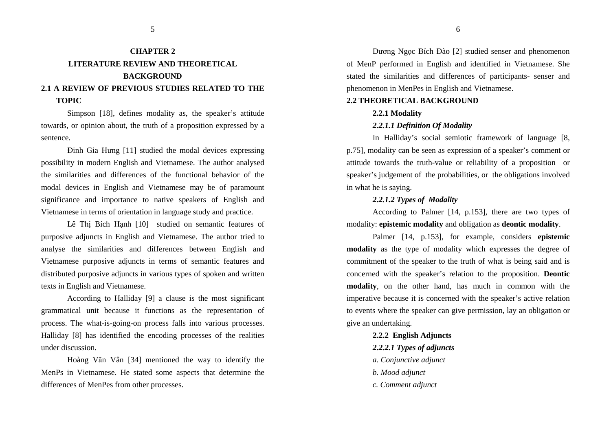## **CHAPTER 2 LITERATURE REVIEW AND THEORETICAL BACKGROUND2.1 A REVIEW OF PREVIOUS STUDIES RELATED TO THE**

#### **TOPIC**

Simpson [18], defines modality as, the speaker's attitude towards, or opinion about, the truth of a proposition expressed by a sentence.

Đinh Gia Hưng [11] studied the modal devices expressing possibility in modern English and Vietnamese. The author analysed the similarities and differences of the functional behavior of the modal devices in English and Vietnamese may be of paramount significance and importance to native speakers of English and Vietnamese in terms of orientation in language study and practice.

Lê Thi Bích Hanh [10] studied on semantic features of purposive adjuncts in English and Vietnamese. The author tried to analyse the similarities and differences between English and Vietnamese purposive adjuncts in terms of semantic features and distributed purposive adjuncts in various types of spoken and written texts in English and Vietnamese.

According to Halliday [9] a clause is the most significant grammatical unit because it functions as the representation of process. The what-is-going-on process falls into various processes. Halliday [8] has identified the encoding processes of the realities under discussion.

Hoàng Văn Vân [34] mentioned the way to identify the MenPs in Vietnamese. He stated some aspects that determine the differences of MenPes from other processes.

Dương Ngọc Bích Đào [2] studied senser and phenomenon of MenP performed in English and identified in Vietnamese. She stated the similarities and differences of participants- senser and phenomenon in MenPes in English and Vietnamese.

#### **2.2 THEORETICAL BACKGROUND**

#### **2.2.1 Modality**

#### *2.2.1.1 Definition Of Modality*

In Halliday's social semiotic framework of language [8, p.75], modality can be seen as expression of a speaker's comment or attitude towards the truth-value or reliability of a proposition or speaker's judgement of the probabilities, or the obligations involved in what he is saying.

#### *2.2.1.2 Types of Modality*

According to Palmer [14, p.153], there are two types of modality: **epistemic modality** and obligation as **deontic modality**.

Palmer [14, p.153], for example, considers **epistemic modality** as the type of modality which expresses the degree of commitment of the speaker to the truth of what is being said and is concerned with the speaker's relation to the proposition. **Deontic modality**, on the other hand, has much in common with the imperative because it is concerned with the speaker's active relation to events where the speaker can give permission, lay an obligation or give an undertaking.

 **2.2.2 English Adjuncts** 

- *2.2.2.1 Types of adjuncts*
- *a. Conjunctive adjunct*
- *b. Mood adjunct*
- *c. Comment adjunct*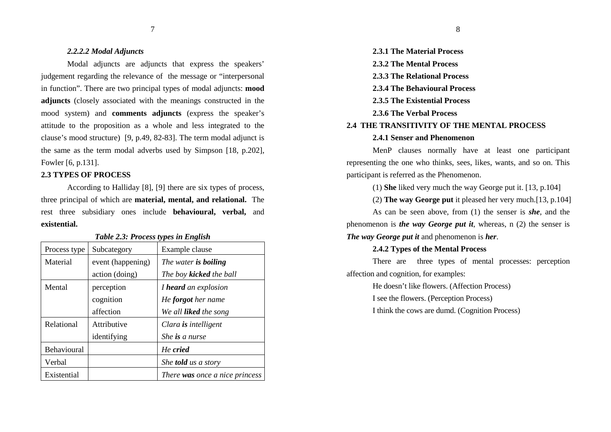#### *2.2.2.2 Modal Adjuncts*

 Modal adjuncts are adjuncts that express the speakers' judgement regarding the relevance of the message or "interpersonal in function". There are two principal types of modal adjuncts: **mood adjuncts** (closely associated with the meanings constructed in the mood system) and **comments adjuncts** (express the speaker's attitude to the proposition as a whole and less integrated to the clause's mood structure) [9, p.49, 82-83]. The term modal adjunct is the same as the term modal adverbs used by Simpson [18, p.202], Fowler [6, p.131].

#### **2.3 TYPES OF PROCESS**

According to Halliday [8], [9] there are six types of process, three principal of which are **material, mental, and relational.** The rest three subsidiary ones include **behavioural, verbal,** and**existential.** 

| Process type       | Subcategory       | Example clause                 |
|--------------------|-------------------|--------------------------------|
| Material           | event (happening) | The water is boiling           |
|                    | action (doing)    | The boy <b>kicked</b> the ball |
| Mental             | perception        | I heard an explosion           |
|                    | cognition         | He <b>forgot</b> her name      |
|                    | affection         | We all <b>liked</b> the song   |
| Relational         | Attributive       | Clara is intelligent           |
|                    | identifying       | She is a nurse                 |
| <b>Behavioural</b> |                   | He cried                       |
| Verbal             |                   | She <b>told</b> us a story     |
| Existential        |                   | There was once a nice princess |

#### *Table 2.3: Process types in English*

 **2.3.1 The Material Process 2.3.2 The Mental Process 2.3.3 The Relational Process 2.3.4 The Behavioural Process 2.3.5 The Existential Process 2.3.6 The Verbal Process 2.4 THE TRANSITIVITY OF THE MENTAL PROCESS 2.4.1 Senser and Phenomenon** 

MenP clauses normally have at least one participantrepresenting the one who thinks, sees, likes, wants, and so on. This participant is referred as the Phenomenon.

(1) **She** liked very much the way George put it. [13, p.104]

(2) **The way George put** it pleased her very much.[13, p.104]

As can be seen above, from (1) the senser is *she*, and the phenomenon is *the way George put it*, whereas, n (2) the senser is *The way George put it* and phenomenon is *her*.

#### **2.4.2 Types of the Mental Process**

There are three types of mental processes: perception affection and cognition, for examples:

He doesn't like flowers. (Affection Process)

I see the flowers. (Perception Process)

I think the cows are dumd. (Cognition Process)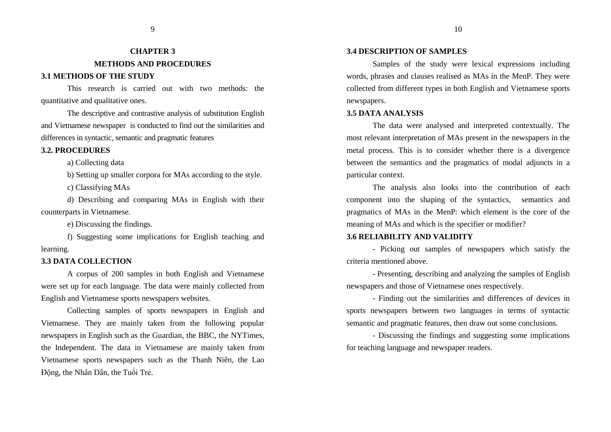## **CHAPTER 3 METHODS AND PROCEDURES**

#### **3.1 METHODS OF THE STUDY**

This research is carried out with two methods: the quantitative and qualitative ones.

The descriptive and contrastive analysis of substitution English and Vietnamese newspaper is conducted to find out the similarities and differences in syntactic, semantic and pragmatic features

#### **3.2. PROCEDURES**

a) Collecting data

b) Setting up smaller corpora for MAs according to the style.

c) Classifying MAs

 d) Describing and comparing MAs in English with their counterparts in Vietnamese.

e) Discussing the findings.

 f) Suggesting some implications for English teaching and learning.

#### **3.3 DATA COLLECTION**

A corpus of 200 samples in both English and Vietnamese were set up for each language. The data were mainly collected from English and Vietnamese sports newspapers websites.

Collecting samples of sports newspapers in English and Vietnamese. They are mainly taken from the following popular newspapers in English such as the Guardian, the BBC, the NYTimes, the Independent. The data in Vietnamese are mainly taken from Vietnamese sports newspapers such as the Thanh Niên, the Lao Động, the Nhân Dân, the Tuổi Trẻ.

#### **3.4 DESCRIPTION OF SAMPLES**

Samples of the study were lexical expressions including words, phrases and clauses realised as MAs in the MenP. They were collected from different types in both English and Vietnamese sports newspapers.

#### **3.5 DATA ANALYSIS**

The data were analysed and interpreted contextually. The most relevant interpretation of MAs present in the newspapers in the metal process. This is to consider whether there is a divergence between the semantics and the pragmatics of modal adjuncts in a particular context.

The analysis also looks into the contribution of each component into the shaping of the syntactics, semantics and pragmatics of MAs in the MenP: which element is the core of the meaning of MAs and which is the specifier or modifier?

#### **3.6 RELIABILITY AND VALIDITY**

- Picking out samples of newspapers which satisfy the criteria mentioned above.

- Presenting, describing and analyzing the samples of English newspapers and those of Vietnamese ones respectively.

- Finding out the similarities and differences of devices in sports newspapers between two languages in terms of syntactic semantic and pragmatic features, then draw out some conclusions.

- Discussing the findings and suggesting some implications for teaching language and newspaper readers.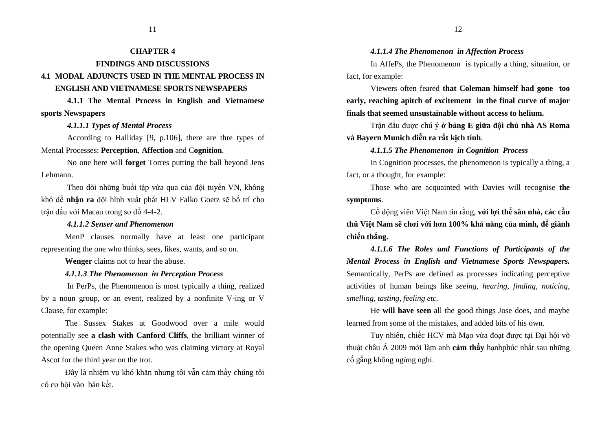## **CHAPTER 4**

### **FINDINGS AND DISCUSSIONS 4.1 MODAL ADJUNCTS USED IN THE MENTAL PROCESS IN**

#### **ENGLISH AND VIETNAMESE SPORTS NEWSPAPERS**

 **4.1.1 The Mental Process in English and Vietnamesesports Newspapers** 

 *4.1.1.1 Types of Mental Process*

 According to Halliday [9, p.106], there are thre types of Mental Processes: **Perception**, **Affection** and C**ognition**.

No one here will **forget** Torres putting the ball beyond Jens Lehmann.

Theo dõi những buổi tập vừa qua của ñội tuyển VN, không khó ñể **nhận ra** ñội hình xuất phát HLV Falko Goetz sẽ bố trí cho trận đấu với Macau trong sơ đồ 4-4-2.

#### *4.1.1.2 Senser and Phenomenon*

MenP clauses normally have at least one participantrepresenting the one who thinks, sees, likes, wants, and so on.

**Wenger** claims not to hear the abuse.

### *4.1.1.3 The Phenomenon in Perception Process*

 In PerPs, the Phenomenon is most typically a thing, realized by a noun group, or an event, realized by a nonfinite V-ing or V Clause, for example:

The Sussex Stakes at Goodwood over a mile would potentially see **a clash with Canford Cliffs**, the brilliant winner of the opening Queen Anne Stakes who was claiming victory at Royal Ascot for the third year on the trot.

<sup>Đ</sup>ây là nhiệm vụ khó khăn nhưng tôi vẫn cảm thấy chúng tôi có cơ hội vào bán kết.

### *4.1.1.4 The Phenomenon in Affection Process*

In AffePs, the Phenomenon is typically a thing, situation, or fact, for example:

Viewers often feared **that Coleman himself had gone too early, reaching apitch of excitement in the final curve of major finals that seemed unsustainable without access to helium.**

Trận ñấu ñược chú ý **ở bảng <sup>E</sup> <sup>g</sup>iữa ñội chủ nhà AS Roma và Bayern Munich diễn ra rất kịch tính**.

### *4.1.1.5 The Phenomenon in Cognition Process*

In Cognition processes, the phenomenon is typically a thing, a fact, or a thought, for example:

Those who are acquainted with Davies will recognise **the symptoms**.

Cổ ñộng viên Việt Nam tin rằng, **<sup>v</sup>ới lợi thế sân nhà, các cầ<sup>u</sup> thủ Việt Nam sẽ chơi với hơn 100% khả năng của mình, ñể giành chiến thắng.** 

*4.1.1.6 The Roles and Functions of Participants of the Mental Process in English and Vietnamese Sports Newspapers.* Semantically, PerPs are defined as processes indicating perceptive activities of human beings like *seeing, hearing, finding, noticing, smelling, tasting, feeling etc.*

He **will have seen** all the good things Jose does, and maybe learned from some of the mistakes, and added bits of his own.

Tuy nhiên, chiếc HCV mà Mạo vừa đoạt được tại Đại hội võ thuật châu Á 2009 mới làm anh **cảm thấy** hạnhphúc nhất sau những <sup>c</sup>ố gắng không ngừng nghỉ.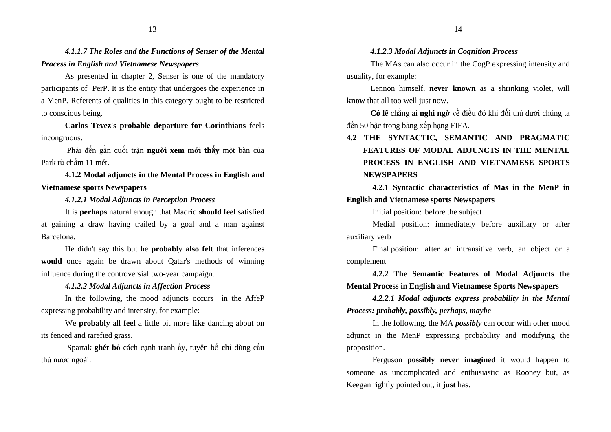*4.1.1.7 The Roles and the Functions of Senser of the Mental Process in English and Vietnamese Newspapers* 

As presented in chapter 2, Senser is one of the mandatory participants of PerP. It is the entity that undergoes the experience in a MenP. Referents of qualities in this category ought to be restricted to conscious being.

**Carlos Tevez's probable departure for Corinthians** feels incongruous.

 Phải ñến gần cuối trận **người xem mới thấy** một bàn của Park từ chấm 11 mét.

**4.1.2 Modal adjuncts in the Mental Process in English and Vietnamese sports Newspapers** 

*4.1.2.1 Modal Adjuncts in Perception Process*

It is **perhaps** natural enough that Madrid **should feel** satisfied at gaining a draw having trailed by a goal and a man against Barcelona.

He didn't say this but he **probably also felt** that inferences **would** once again be drawn about Qatar's methods of winning influence during the controversial two-year campaign.

#### *4.1.2.2 Modal Adjuncts in Affection Process*

In the following, the mood adjuncts occurs in the AffeP expressing probability and intensity, for example:

We **probably** all **feel** a little bit more **like** dancing about on its fenced and rarefied grass.

 Spartak **ghét <sup>b</sup>ỏ** cách cạnh tranh ấy, tuyên bố **chỉ** dùng cầ<sup>u</sup> thủ nước ngoài.

*4.1.2.3 Modal Adjuncts in Cognition Process*

The MAs can also occur in the CogP expressing intensity and usuality, for example:

Lennon himself, **never known** as a shrinking violet, will **know** that all too well just now.

**Có lẽ** chẳng ai **nghi ngờ** về <sup>ñ</sup>iều ñó khi ñối thủ dưới chúng ta đến 50 bậc trong bảng xếp hạng FIFA.

## **4.2 THE SYNTACTIC, SEMANTIC AND PRAGMATIC FEATURES OF MODAL ADJUNCTS IN THE MENTAL PROCESS IN ENGLISH AND VIETNAMESE SPORTS NEWSPAPERS**

**4.2.1 Syntactic characteristics of Mas in the MenP in** 

## **English and Vietnamese sports Newspapers**

Initial position: before the subject

Medial position: immediately before auxiliary or after auxiliary verb

Final position: after an intransitive verb, an object or a complement

**4.2.2 The Semantic Features of Modal Adjuncts the Mental Process in English and Vietnamese Sports Newspapers** 

*4.2.2.1 Modal adjuncts express probability in the Mental Process: probably, possibly, perhaps, maybe*

In the following, the MA *possibly* can occur with other mood adjunct in the MenP expressing probability and modifying the proposition.

Ferguson **possibly never imagined** it would happen to someone as uncomplicated and enthusiastic as Rooney but, as Keegan rightly pointed out, it **just** has.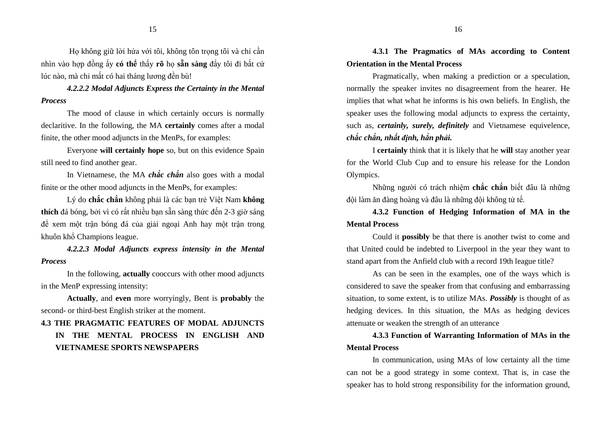Họ không giữ lời hứa với tôi, không tôn trong tôi và chỉ cần nhìn vào hợp ñồng ấy **có thể** thấy **rõ** họ **<sup>s</sup>ẵn sàng** ñẩy tôi ñi bất c<sup>ứ</sup>lúc nào, mà chỉ mất có hai tháng lương ñền bù!

*4.2.2.2 Modal Adjuncts Express the Certainty in the Mental Process*

The mood of clause in which certainly occurs is normally declaritive. In the following, the MA **certainly** comes after a modal finite, the other mood adjuncts in the MenPs, for examples:

Everyone **will certainly hope** so, but on this evidence Spain still need to find another gear.

In Vietnamese, the MA *chắc chắn* also goes with a modal finite or the other mood adjuncts in the MenPs, for examples:

Lý do **chắc chắn** không phải là các bạn trẻ Việt Nam **không thích** đá bóng, bởi vì có rất nhiều bạn sẵn sàng thức đến 2-3 giờ sáng ñể xem một trận bóng ñá của giải ngoại Anh hay một trận trong khuôn khổ Champions league.

*4.2.2.3 Modal Adjuncts express intensity in the Mental Process* 

In the following, **actually** cooccurs with other mood adjuncts in the MenP expressing intensity:

**Actually**, and **even** more worryingly, Bent is **probably** the second- or third-best English striker at the moment.

#### **4.3 THE PRAGMATIC FEATURES OF MODAL ADJUNCTS**

**IN THE MENTAL PROCESS IN ENGLISH AND VIETNAMESE SPORTS NEWSPAPERS** 

**4.3.1 The Pragmatics of MAs according to Content Orientation in the Mental Process** 

Pragmatically, when making a prediction or a speculation, normally the speaker invites no disagreement from the hearer. He implies that what what he informs is his own beliefs. In English, the speaker uses the following modal adjuncts to express the certainty, such as, *certainly, surely, definitely* and Vietnamese equivelence, *chắc chắn, nhất ñịnh, hẳn phải.*

I **certainly** think that it is likely that he **will** stay another year for the World Club Cup and to ensure his release for the London Olympics.

Những người có trách nhiệm **chắc chắn** biết ñâu là những đôi làm ăn đàng hoàng và đâu là những đôi không tử tế.

**4.3.2 Function of Hedging Information of MA in the Mental Process** 

Could it **possibly** be that there is another twist to come and that United could be indebted to Liverpool in the year they want to stand apart from the Anfield club with a record 19th league title?

 As can be seen in the examples, one of the ways which is considered to save the speaker from that confusing and embarrassing situation, to some extent, is to utilize MAs. *Possibly* is thought of as hedging devices. In this situation, the MAs as hedging devices attenuate or weaken the strength of an utterance

**4.3.3 Function of Warranting Information of MAs in the Mental Process** 

In communication, using MAs of low certainty all the time can not be a good strategy in some context. That is, in case the speaker has to hold strong responsibility for the information ground,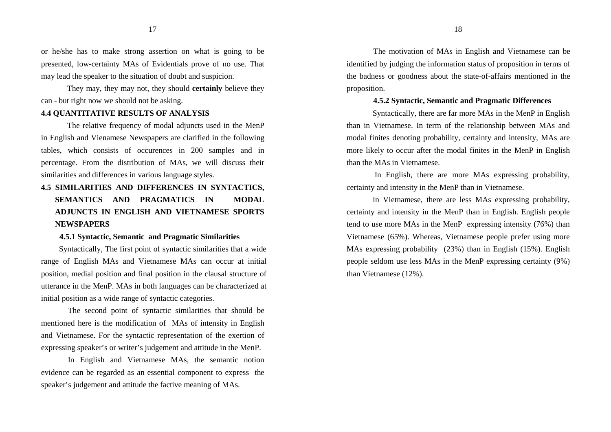17

or he/she has to make strong assertion on what is going to be presented, low-certainty MAs of Evidentials prove of no use. That may lead the speaker to the situation of doubt and suspicion.

They may, they may not, they should **certainly** believe they can - but right now we should not be asking.

#### **4.4 QUANTITATIVE RESULTS OF ANALYSIS**

The relative frequency of modal adjuncts used in the MenP in English and Vienamese Newspapers are clarified in the following tables, which consists of occurences in 200 samples and in percentage. From the distribution of MAs, we will discuss their similarities and differences in various language styles.

## **4.5 SIMILARITIES AND DIFFERENCES IN SYNTACTICS, SEMANTICS AND PRAGMATICS IN MODAL ADJUNCTS IN ENGLISH AND VIETNAMESE SPORTS NEWSPAPERS**

#### **4.5.1 Syntactic, Semantic and Pragmatic Similarities**

Syntactically, The first point of syntactic similarities that a wide range of English MAs and Vietnamese MAs can occur at initial position, medial position and final position in the clausal structure of utterance in the MenP. MAs in both languages can be characterized at initial position as a wide range of syntactic categories.

The second point of syntactic similarities that should be mentioned here is the modification of MAs of intensity in English and Vietnamese. For the syntactic representation of the exertion of expressing speaker's or writer's judgement and attitude in the MenP.

In English and Vietnamese MAs, the semantic notion evidence can be regarded as an essential component to express the speaker's judgement and attitude the factive meaning of MAs.

The motivation of MAs in English and Vietnamese can be identified by judging the information status of proposition in terms of the badness or goodness about the state-of-affairs mentioned in the proposition.

#### **4.5.2 Syntactic, Semantic and Pragmatic Differences**

Syntactically, there are far more MAs in the MenP in English than in Vietnamese. In term of the relationship between MAs and modal finites denoting probability, certainty and intensity, MAs are more likely to occur after the modal finites in the MenP in English than the MAs in Vietnamese.

 In English, there are more MAs expressing probability, certainty and intensity in the MenP than in Vietnamese.

In Vietnamese, there are less MAs expressing probability, certainty and intensity in the MenP than in English. English people tend to use more MAs in the MenP expressing intensity (76%) than Vietnamese (65%). Whereas, Vietnamese people prefer using more MAs expressing probability (23%) than in English (15%). English people seldom use less MAs in the MenP expressing certainty (9%) than Vietnamese (12%).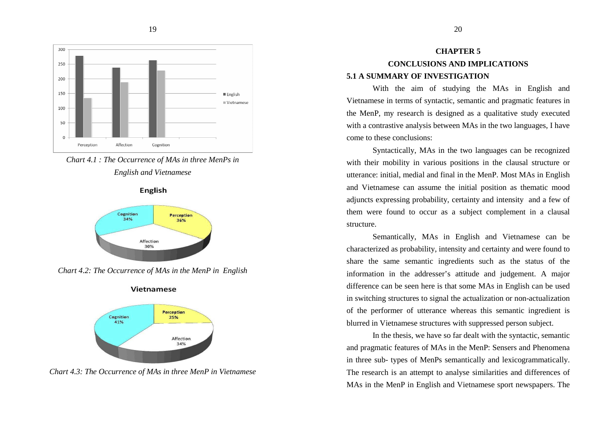

*Chart 4.1 : The Occurrence of MAs in three MenPs inEnglish and Vietnamese* 

**English** 



*Chart 4.2: The Occurrence of MAs in the MenP in English* 



Vietnamese

*Chart 4.3: The Occurrence of MAs in three MenP in Vietnamese* 

## **CHAPTER 5 CONCLUSIONS AND IMPLICATIONS 5.1 A SUMMARY OF INVESTIGATION**

 With the aim of studying the MAs in English and Vietnamese in terms of syntactic, semantic and pragmatic features in the MenP, my research is designed as a qualitative study executed with a contrastive analysis between MAs in the two languages, I have come to these conclusions:

 Syntactically, MAs in the two languages can be recognized with their mobility in various positions in the clausal structure or utterance: initial, medial and final in the MenP. Most MAs in English and Vietnamese can assume the initial position as thematic mood adjuncts expressing probability, certainty and intensity and a few of them were found to occur as a subject complement in a clausal structure.

 Semantically, MAs in English and Vietnamese can becharacterized as probability, intensity and certainty and were found to share the same semantic ingredients such as the status of the information in the addresser's attitude and judgement. A major difference can be seen here is that some MAs in English can be used in switching structures to signal the actualization or non-actualization of the performer of utterance whereas this semantic ingredient is blurred in Vietnamese structures with suppressed person subject.

In the thesis, we have so far dealt with the syntactic, semantic and pragmatic features of MAs in the MenP: Sensers and Phenomena in three sub- types of MenPs semantically and lexicogrammatically. The research is an attempt to analyse similarities and differences of MAs in the MenP in English and Vietnamese sport newspapers. The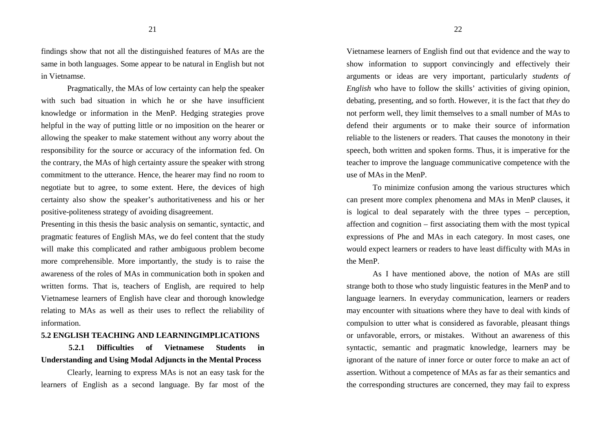findings show that not all the distinguished features of MAs are the same in both languages. Some appear to be natural in English but not in Vietnamse.

Pragmatically, the MAs of low certainty can help the speaker with such bad situation in which he or she have insufficient knowledge or information in the MenP. Hedging strategies prove helpful in the way of putting little or no imposition on the hearer or allowing the speaker to make statement without any worry about the responsibility for the source or accuracy of the information fed. On the contrary, the MAs of high certainty assure the speaker with strong commitment to the utterance. Hence, the hearer may find no room to negotiate but to agree, to some extent. Here, the devices of high certainty also show the speaker's authoritativeness and his or her positive-politeness strategy of avoiding disagreement.

Presenting in this thesis the basic analysis on semantic, syntactic, and pragmatic features of English MAs, we do feel content that the study will make this complicated and rather ambiguous problem become more comprehensible. More importantly, the study is to raise the awareness of the roles of MAs in communication both in spoken and written forms. That is, teachers of English, are required to help Vietnamese learners of English have clear and thorough knowledge relating to MAs as well as their uses to reflect the reliability of information.

#### **5.2 ENGLISH TEACHING AND LEARNINGIMPLICATIONS**

**5.2.1 Difficulties of Vietnamese Students in Understanding and Using Modal Adjuncts in the Mental Process** 

 Clearly, learning to express MAs is not an easy task for the learners of English as a second language. By far most of the Vietnamese learners of English find out that evidence and the way to show information to support convincingly and effectively their arguments or ideas are very important, particularly *students of English* who have to follow the skills' activities of giving opinion, debating, presenting, and so forth. However, it is the fact that *they* do not perform well, they limit themselves to a small number of MAs to defend their arguments or to make their source of information reliable to the listeners or readers. That causes the monotony in their speech, both written and spoken forms. Thus, it is imperative for the teacher to improve the language communicative competence with the use of MAs in the MenP.

To minimize confusion among the various structures which can present more complex phenomena and MAs in MenP clauses, it is logical to deal separately with the three types – perception, affection and cognition – first associating them with the most typical expressions of Phe and MAs in each category. In most cases, one would expect learners or readers to have least difficulty with MAs in the MenP.

 As I have mentioned above, the notion of MAs are still strange both to those who study linguistic features in the MenP and to language learners. In everyday communication, learners or readers may encounter with situations where they have to deal with kinds of compulsion to utter what is considered as favorable, pleasant things or unfavorable, errors, or mistakes. Without an awareness of this syntactic, semantic and pragmatic knowledge, learners may be ignorant of the nature of inner force or outer force to make an act of assertion. Without a competence of MAs as far as their semantics and the corresponding structures are concerned, they may fail to express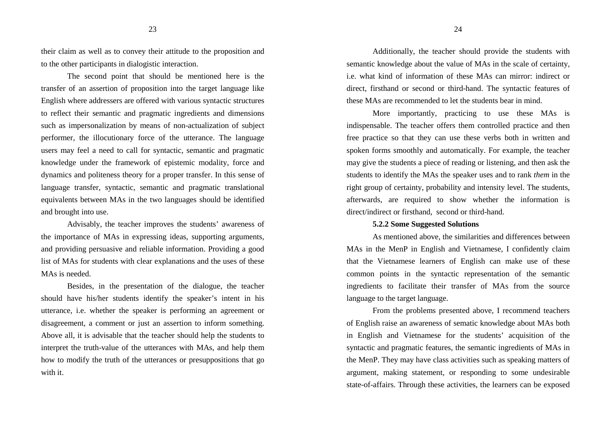23

their claim as well as to convey their attitude to the proposition and to the other participants in dialogistic interaction.

 The second point that should be mentioned here is the transfer of an assertion of proposition into the target language like English where addressers are offered with various syntactic structures to reflect their semantic and pragmatic ingredients and dimensions such as impersonalization by means of non-actualization of subject performer, the illocutionary force of the utterance. The language users may feel a need to call for syntactic, semantic and pragmatic knowledge under the framework of epistemic modality, force and dynamics and politeness theory for a proper transfer. In this sense of language transfer, syntactic, semantic and pragmatic translational equivalents between MAs in the two languages should be identified and brought into use.

Advisably, the teacher improves the students' awareness of the importance of MAs in expressing ideas, supporting arguments, and providing persuasive and reliable information. Providing a good list of MAs for students with clear explanations and the uses of these MAs is needed.

Besides, in the presentation of the dialogue, the teacher should have his/her students identify the speaker's intent in his utterance, i.e. whether the speaker is performing an agreement or disagreement, a comment or just an assertion to inform something. Above all, it is advisable that the teacher should help the students to interpret the truth-value of the utterances with MAs, and help them how to modify the truth of the utterances or presuppositions that go with it.

Additionally, the teacher should provide the students with semantic knowledge about the value of MAs in the scale of certainty, i.e. what kind of information of these MAs can mirror: indirect or direct, firsthand or second or third-hand. The syntactic features of these MAs are recommended to let the students bear in mind.

More importantly, practicing to use these MAs is indispensable. The teacher offers them controlled practice and then free practice so that they can use these verbs both in written and spoken forms smoothly and automatically. For example, the teacher may give the students a piece of reading or listening, and then ask the students to identify the MAs the speaker uses and to rank *them* in the right group of certainty, probability and intensity level. The students, afterwards, are required to show whether the information is direct/indirect or firsthand, second or third-hand.

#### **5.2.2 Some Suggested Solutions**

 As mentioned above, the similarities and differences between MAs in the MenP in English and Vietnamese, I confidently claim that the Vietnamese learners of English can make use of these common points in the syntactic representation of the semantic ingredients to facilitate their transfer of MAs from the source language to the target language.

 From the problems presented above, I recommend teachers of English raise an awareness of sematic knowledge about MAs both in English and Vietnamese for the students' acquisition of the syntactic and pragmatic features, the semantic ingredients of MAs in the MenP. They may have class activities such as speaking matters of argument, making statement, or responding to some undesirable state-of-affairs. Through these activities, the learners can be exposed